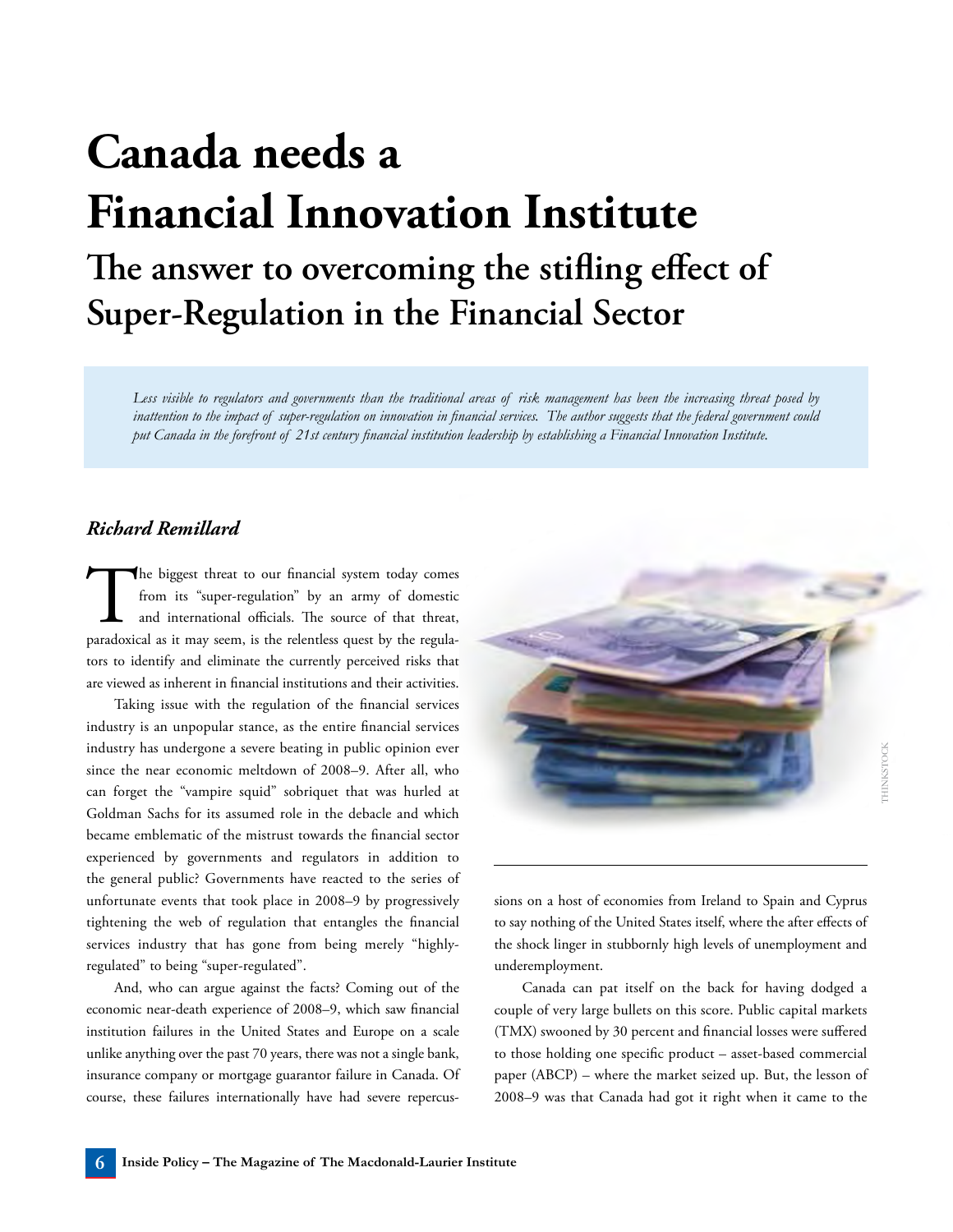## **Canada needs a Financial Innovation Institute The answer to overcoming the stifling effect of Super-Regulation in the Financial Sector**

*Less visible to regulators and governments than the traditional areas of risk management has been the increasing threat posed by inattention to the impact of super-regulation on innovation in financial services. The author suggests that the federal government could put Canada in the forefront of 21st century financial institution leadership by establishing a Financial Innovation Institute.*

## *Richard Remillard*

The biggest threat to our financial system today comes<br>from its "super-regulation" by an army of domestic<br>and international officials. The source of that threat,<br>paradoxical as it may seem, is the relentless quest by the r from its "super-regulation" by an army of domestic and international officials. The source of that threat, paradoxical as it may seem, is the relentless quest by the regulators to identify and eliminate the currently perceived risks that are viewed as inherent in financial institutions and their activities.

Taking issue with the regulation of the financial services industry is an unpopular stance, as the entire financial services industry has undergone a severe beating in public opinion ever since the near economic meltdown of 2008–9. After all, who can forget the "vampire squid" sobriquet that was hurled at Goldman Sachs for its assumed role in the debacle and which became emblematic of the mistrust towards the financial sector experienced by governments and regulators in addition to the general public? Governments have reacted to the series of unfortunate events that took place in 2008–9 by progressively tightening the web of regulation that entangles the financial services industry that has gone from being merely "highlyregulated" to being "super-regulated".

And, who can argue against the facts? Coming out of the economic near-death experience of 2008–9, which saw financial institution failures in the United States and Europe on a scale unlike anything over the past 70 years, there was not a single bank, insurance company or mortgage guarantor failure in Canada. Of course, these failures internationally have had severe repercus-



sions on a host of economies from Ireland to Spain and Cyprus to say nothing of the United States itself, where the after effects of the shock linger in stubbornly high levels of unemployment and underemployment.

Canada can pat itself on the back for having dodged a couple of very large bullets on this score. Public capital markets (TMX) swooned by 30 percent and financial losses were suffered to those holding one specific product – asset-based commercial paper (ABCP) – where the market seized up. But, the lesson of 2008–9 was that Canada had got it right when it came to the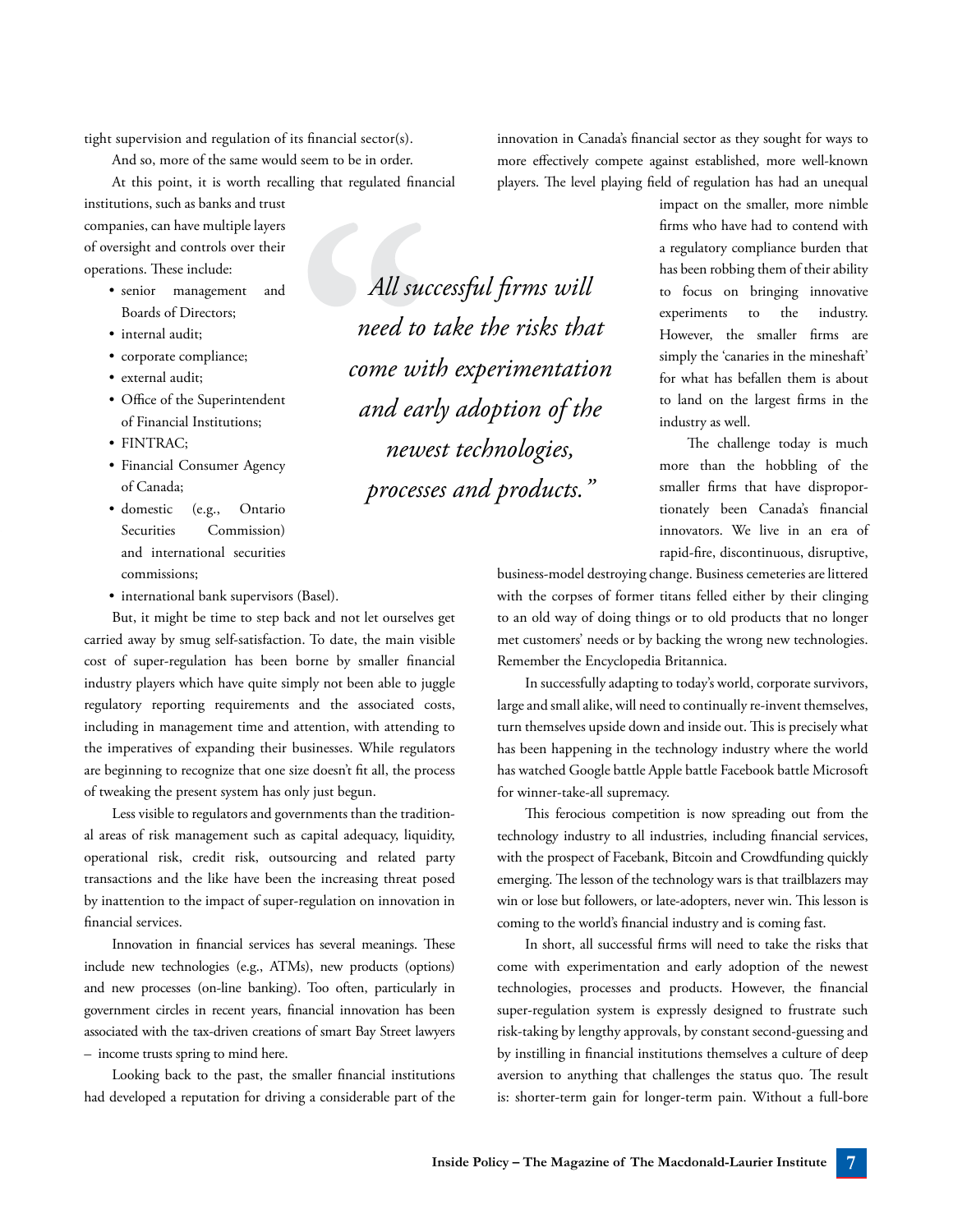tight supervision and regulation of its financial sector(s).

And so, more of the same would seem to be in order.

At this point, it is worth recalling that regulated financial

institutions, such as banks and trust companies, can have multiple layers of oversight and controls over their operations. These include:

- • senior management and Boards of Directors;
- internal audit;
- corporate compliance;
- • external audit;
- Office of the Superintendent of Financial Institutions;
- FINTRAC:
- Financial Consumer Agency of Canada;
- domestic (e.g., Ontario Securities Commission) and international securities commissions;
- international bank supervisors (Basel).

But, it might be time to step back and not let ourselves get carried away by smug self-satisfaction. To date, the main visible cost of super-regulation has been borne by smaller financial industry players which have quite simply not been able to juggle regulatory reporting requirements and the associated costs, including in management time and attention, with attending to the imperatives of expanding their businesses. While regulators are beginning to recognize that one size doesn't fit all, the process of tweaking the present system has only just begun.

Less visible to regulators and governments than the traditional areas of risk management such as capital adequacy, liquidity, operational risk, credit risk, outsourcing and related party transactions and the like have been the increasing threat posed by inattention to the impact of super-regulation on innovation in financial services.

Innovation in financial services has several meanings. These include new technologies (e.g., ATMs), new products (options) and new processes (on-line banking). Too often, particularly in government circles in recent years, financial innovation has been associated with the tax-driven creations of smart Bay Street lawyers – income trusts spring to mind here.

Looking back to the past, the smaller financial institutions had developed a reputation for driving a considerable part of the

*All successful firms will need to take the risks that come with experimentation and early adoption of the newest technologies, processes and products."*

innovation in Canada's financial sector as they sought for ways to more effectively compete against established, more well-known players. The level playing field of regulation has had an unequal

> impact on the smaller, more nimble firms who have had to contend with a regulatory compliance burden that has been robbing them of their ability to focus on bringing innovative experiments to the industry. However, the smaller firms are simply the 'canaries in the mineshaft' for what has befallen them is about to land on the largest firms in the industry as well.

> The challenge today is much more than the hobbling of the smaller firms that have disproportionately been Canada's financial innovators. We live in an era of rapid-fire, discontinuous, disruptive,

business-model destroying change. Business cemeteries are littered with the corpses of former titans felled either by their clinging to an old way of doing things or to old products that no longer met customers' needs or by backing the wrong new technologies. Remember the Encyclopedia Britannica.

In successfully adapting to today's world, corporate survivors, large and small alike, will need to continually re-invent themselves, turn themselves upside down and inside out. This is precisely what has been happening in the technology industry where the world has watched Google battle Apple battle Facebook battle Microsoft for winner-take-all supremacy.

This ferocious competition is now spreading out from the technology industry to all industries, including financial services, with the prospect of Facebank, Bitcoin and Crowdfunding quickly emerging. The lesson of the technology wars is that trailblazers may win or lose but followers, or late-adopters, never win. This lesson is coming to the world's financial industry and is coming fast.

In short, all successful firms will need to take the risks that come with experimentation and early adoption of the newest technologies, processes and products. However, the financial super-regulation system is expressly designed to frustrate such risk-taking by lengthy approvals, by constant second-guessing and by instilling in financial institutions themselves a culture of deep aversion to anything that challenges the status quo. The result is: shorter-term gain for longer-term pain. Without a full-bore